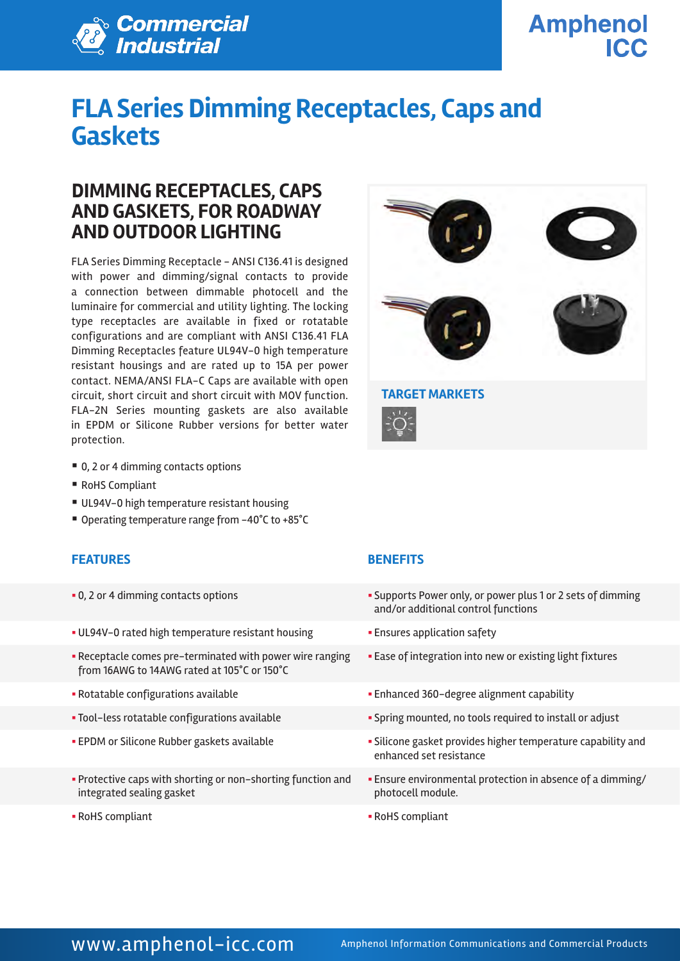

**Amphenol ICC** 

# **FLA Series Dimming Receptacles, Caps and Gaskets**

### **DIMMING RECEPTACLES, CAPS AND GASKETS, FOR ROADWAY AND OUTDOOR LIGHTING**

FLA Series Dimming Receptacle - ANSI C136.41 is designed with power and dimming/signal contacts to provide a connection between dimmable photocell and the luminaire for commercial and utility lighting. The locking type receptacles are available in fixed or rotatable configurations and are compliant with ANSI C136.41 FLA Dimming Receptacles feature UL94V-0 high temperature resistant housings and are rated up to 15A per power contact. NEMA/ANSI FLA-C Caps are available with open circuit, short circuit and short circuit with MOV function. FLA-2N Series mounting gaskets are also available in EPDM or Silicone Rubber versions for better water protection.



- RoHS Compliant
- UL94V-0 high temperature resistant housing
- Operating temperature range from -40°C to +85°C

### **FEATURES BENEFITS**

- 
- UL94V-0 rated high temperature resistant housing  **Ensures application safety**
- § Receptacle comes pre-terminated with power wire ranging from 16AWG to 14AWG rated at 105°C or 150°C
- 
- 
- 
- § Protective caps with shorting or non-shorting function and integrated sealing gasket
- 



- 0, 2 or 4 dimming contacts options **in the supports Power only, or power plus 1 or 2 sets of dimming** and/or additional control functions
	-
	- **Ease of integration into new or existing light fixtures**
- § Rotatable configurations available § Enhanced 360-degree alignment capability
- Tool-less rotatable configurations available **Example 3** Spring mounted, no tools required to install or adjust
- EPDM or Silicone Rubber gaskets available  **Silicone gasket provides higher temperature capability and** enhanced set resistance
	- § Ensure environmental protection in absence of a dimming/ photocell module.
- § RoHS compliant § RoHS compliant

### WWW.amphenol-icc.com Amphenol Information Communications and Commercial Products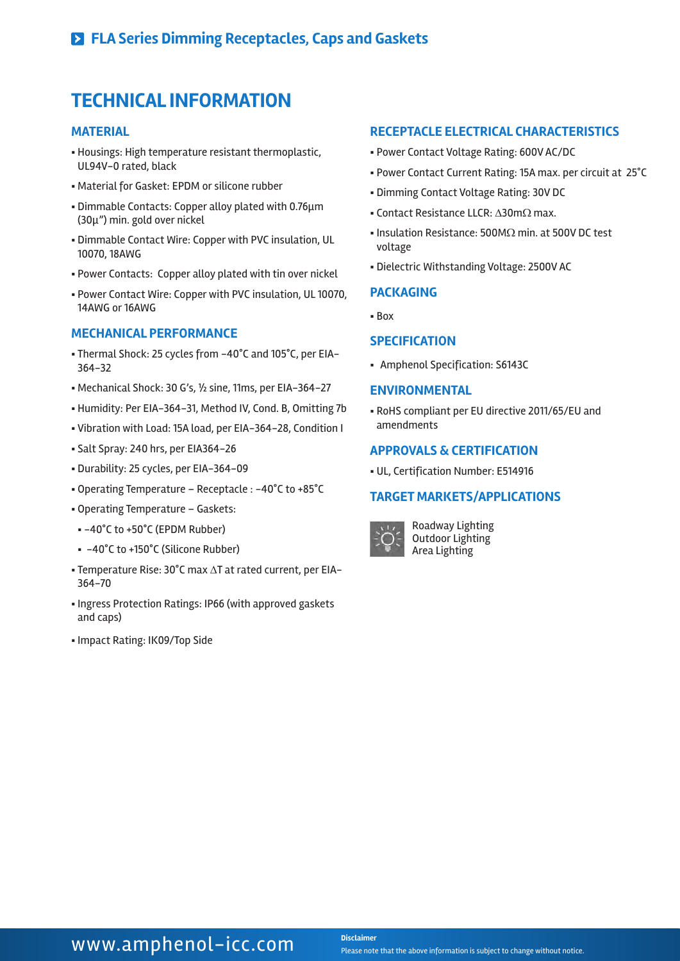### **TECHNICAL INFORMATION**

#### **MATERIAL**

- § Housings: High temperature resistant thermoplastic, UL94V-0 rated, black
- § Material for Gasket: EPDM or silicone rubber
- Dimmable Contacts: Copper alloy plated with 0.76μm (30μ") min. gold over nickel
- § Dimmable Contact Wire: Copper with PVC insulation, UL 10070, 18AWG
- § Power Contacts: Copper alloy plated with tin over nickel
- § Power Contact Wire: Copper with PVC insulation, UL 10070, 14AWG or 16AWG

#### **MECHANICAL PERFORMANCE**

- § Thermal Shock: 25 cycles from -40°C and 105°C, per EIA-364-32
- § Mechanical Shock: 30 G's, ½ sine, 11ms, per EIA-364-27
- § Humidity: Per EIA-364-31, Method IV, Cond. B, Omitting 7b
- § Vibration with Load: 15A load, per EIA-364-28, Condition I
- § Salt Spray: 240 hrs, per EIA364-26
- § Durability: 25 cycles, per EIA-364-09
- § Operating Temperature Receptacle : -40°C to +85°C
- § Operating Temperature Gaskets:
- § -40°C to +50°C (EPDM Rubber)
- § -40°C to +150°C (Silicone Rubber)
- § Temperature Rise: 30°C max ∆T at rated current, per EIA-364-70
- § Ingress Protection Ratings: IP66 (with approved gaskets and caps)
- § Impact Rating: IK09/Top Side

#### **RECEPTACLE ELECTRICAL CHARACTERISTICS**

- § Power Contact Voltage Rating: 600V AC/DC
- § Power Contact Current Rating: 15A max. per circuit at 25°C
- § Dimming Contact Voltage Rating: 30V DC
- § Contact Resistance LLCR: ∆30mΩ max.
- § Insulation Resistance: 500MΩ min. at 500V DC test voltage
- § Dielectric Withstanding Voltage: 2500V AC

#### **PACKAGING**

§ Box

### **SPECIFICATION**

§ Amphenol Specification: S6143C

#### **ENVIRONMENTAL**

§ RoHS compliant per EU directive 2011/65/EU and amendments

### **APPROVALS & CERTIFICATION**

§ UL, Certification Number: E514916

#### **TARGET MARKETS/APPLICATIONS**



Roadway Lighting Outdoor Lighting Area Lighting

### WWW.amphenol-icc.com **Disclaimer**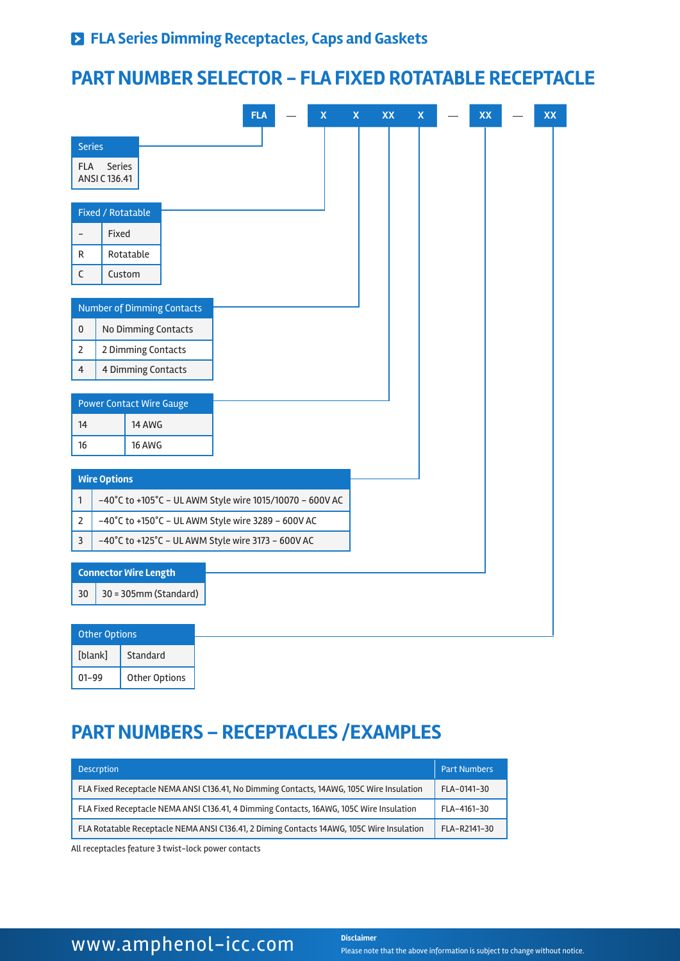### **PART NUMBER SELECTOR - FLA FIXED ROTATABLE RECEPTACLE**

|                                                                       |                                                    |                                 |  |                                                          | <b>FLA</b> |  | $\pmb{\mathsf{X}}$ | $\mathsf X$ | XX | $\pmb{\mathsf{X}}$ |  | XX |  | XX |
|-----------------------------------------------------------------------|----------------------------------------------------|---------------------------------|--|----------------------------------------------------------|------------|--|--------------------|-------------|----|--------------------|--|----|--|----|
| <b>Series</b>                                                         |                                                    |                                 |  |                                                          |            |  |                    |             |    |                    |  |    |  |    |
| <b>FLA</b><br>Series                                                  |                                                    |                                 |  |                                                          |            |  |                    |             |    |                    |  |    |  |    |
|                                                                       | ANSI C 136.41                                      |                                 |  |                                                          |            |  |                    |             |    |                    |  |    |  |    |
|                                                                       | Fixed / Rotatable                                  |                                 |  |                                                          |            |  |                    |             |    |                    |  |    |  |    |
|                                                                       | Fixed                                              |                                 |  |                                                          |            |  |                    |             |    |                    |  |    |  |    |
| R                                                                     |                                                    | Rotatable                       |  |                                                          |            |  |                    |             |    |                    |  |    |  |    |
| $\mathsf C$                                                           | Custom                                             |                                 |  |                                                          |            |  |                    |             |    |                    |  |    |  |    |
|                                                                       |                                                    |                                 |  |                                                          |            |  |                    |             |    |                    |  |    |  |    |
| <b>Number of Dimming Contacts</b><br>$\pmb{0}$<br>No Dimming Contacts |                                                    |                                 |  |                                                          |            |  |                    |             |    |                    |  |    |  |    |
| $\overline{2}$                                                        | 2 Dimming Contacts                                 |                                 |  |                                                          |            |  |                    |             |    |                    |  |    |  |    |
| 4                                                                     | 4 Dimming Contacts                                 |                                 |  |                                                          |            |  |                    |             |    |                    |  |    |  |    |
|                                                                       |                                                    |                                 |  |                                                          |            |  |                    |             |    |                    |  |    |  |    |
|                                                                       |                                                    | <b>Power Contact Wire Gauge</b> |  |                                                          |            |  |                    |             |    |                    |  |    |  |    |
| 14                                                                    |                                                    | 14 AWG                          |  |                                                          |            |  |                    |             |    |                    |  |    |  |    |
| 16                                                                    |                                                    | 16 AWG                          |  |                                                          |            |  |                    |             |    |                    |  |    |  |    |
|                                                                       | <b>Wire Options</b>                                |                                 |  |                                                          |            |  |                    |             |    |                    |  |    |  |    |
| $\mathbf{1}$                                                          |                                                    |                                 |  | -40°C to +105°C - UL AWM Style wire 1015/10070 - 600V AC |            |  |                    |             |    |                    |  |    |  |    |
| $\overline{2}$                                                        | -40°C to +150°C - UL AWM Style wire 3289 - 600V AC |                                 |  |                                                          |            |  |                    |             |    |                    |  |    |  |    |
| $\mathsf 3$                                                           | -40°C to +125°C - UL AWM Style wire 3173 - 600V AC |                                 |  |                                                          |            |  |                    |             |    |                    |  |    |  |    |
|                                                                       |                                                    |                                 |  |                                                          |            |  |                    |             |    |                    |  |    |  |    |
| <b>Connector Wire Length</b><br>30 = 305mm (Standard)<br>30           |                                                    |                                 |  |                                                          |            |  |                    |             |    |                    |  |    |  |    |
|                                                                       |                                                    |                                 |  |                                                          |            |  |                    |             |    |                    |  |    |  |    |
|                                                                       | <b>Other Options</b>                               |                                 |  |                                                          |            |  |                    |             |    |                    |  |    |  |    |

| <b>Other Options</b> |                      |  |  |  |  |
|----------------------|----------------------|--|--|--|--|
| [blank]              | Standard             |  |  |  |  |
| $01 - 99$            | <b>Other Options</b> |  |  |  |  |

## **PART NUMBERS – RECEPTACLES /EXAMPLES**

| <b>Descrption</b>                                                                         | <b>Part Numbers</b> |
|-------------------------------------------------------------------------------------------|---------------------|
| FLA Fixed Receptacle NEMA ANSI C136.41, No Dimming Contacts, 14AWG, 105C Wire Insulation  | FLA-0141-30         |
| FLA Fixed Receptacle NEMA ANSI C136.41, 4 Dimming Contacts, 16AWG, 105C Wire Insulation   | FLA-4161-30         |
| FLA Rotatable Receptacle NEMA ANSI C136.41, 2 Diming Contacts 14AWG, 105C Wire Insulation | FLA-R2141-30        |

All receptacles feature 3 twist-lock power contacts

## **WWW.amphenol-icc.com** Disclaimer